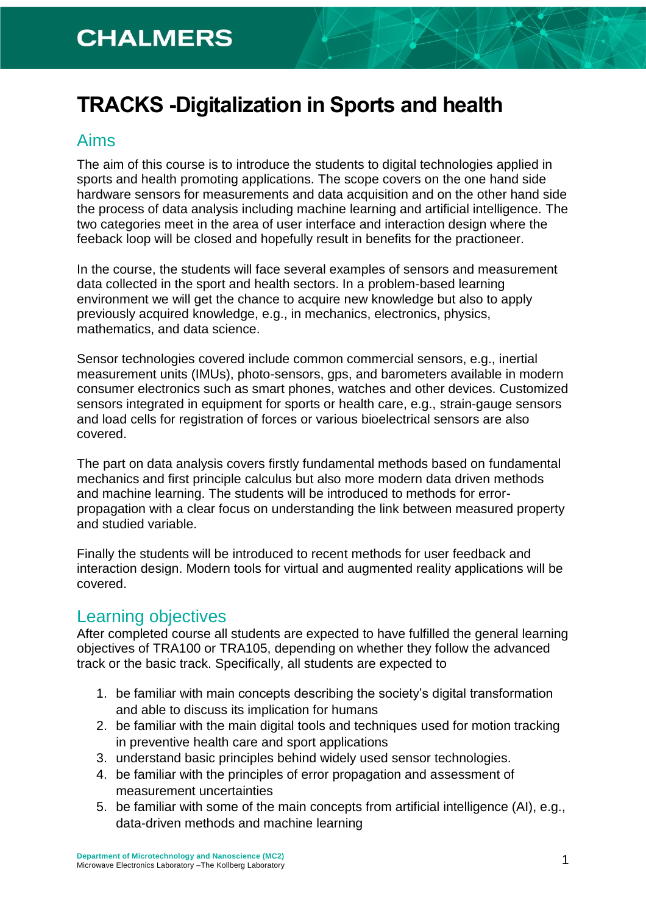# **TRACKS -Digitalization in Sports and health**

#### Aims

The aim of this course is to introduce the students to digital technologies applied in sports and health promoting applications. The scope covers on the one hand side hardware sensors for measurements and data acquisition and on the other hand side the process of data analysis including machine learning and artificial intelligence. The two categories meet in the area of user interface and interaction design where the feeback loop will be closed and hopefully result in benefits for the practioneer.

In the course, the students will face several examples of sensors and measurement data collected in the sport and health sectors. In a problem-based learning environment we will get the chance to acquire new knowledge but also to apply previously acquired knowledge, e.g., in mechanics, electronics, physics, mathematics, and data science.

Sensor technologies covered include common commercial sensors, e.g., inertial measurement units (IMUs), photo-sensors, gps, and barometers available in modern consumer electronics such as smart phones, watches and other devices. Customized sensors integrated in equipment for sports or health care, e.g., strain-gauge sensors and load cells for registration of forces or various bioelectrical sensors are also covered.

The part on data analysis covers firstly fundamental methods based on fundamental mechanics and first principle calculus but also more modern data driven methods and machine learning. The students will be introduced to methods for errorpropagation with a clear focus on understanding the link between measured property and studied variable.

Finally the students will be introduced to recent methods for user feedback and interaction design. Modern tools for virtual and augmented reality applications will be covered.

#### Learning objectives

After completed course all students are expected to have fulfilled the general learning objectives of TRA100 or TRA105, depending on whether they follow the advanced track or the basic track. Specifically, all students are expected to

- 1. be familiar with main concepts describing the society's digital transformation and able to discuss its implication for humans
- 2. be familiar with the main digital tools and techniques used for motion tracking in preventive health care and sport applications
- 3. understand basic principles behind widely used sensor technologies.
- 4. be familiar with the principles of error propagation and assessment of measurement uncertainties
- 5. be familiar with some of the main concepts from artificial intelligence (AI), e.g., data-driven methods and machine learning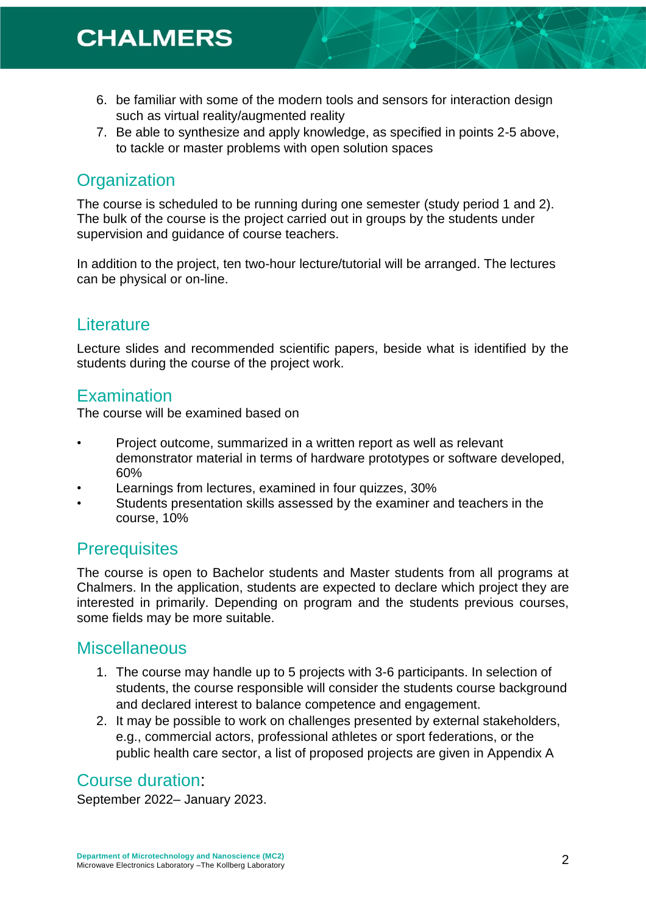- 6. be familiar with some of the modern tools and sensors for interaction design such as virtual reality/augmented reality
- 7. Be able to synthesize and apply knowledge, as specified in points 2-5 above, to tackle or master problems with open solution spaces

# **Organization**

The course is scheduled to be running during one semester (study period 1 and 2). The bulk of the course is the project carried out in groups by the students under supervision and guidance of course teachers.

In addition to the project, ten two-hour lecture/tutorial will be arranged. The lectures can be physical or on-line.

## **Literature**

Lecture slides and recommended scientific papers, beside what is identified by the students during the course of the project work.

#### **Examination**

The course will be examined based on

- Project outcome, summarized in a written report as well as relevant demonstrator material in terms of hardware prototypes or software developed, 60%
- Learnings from lectures, examined in four quizzes, 30%
- Students presentation skills assessed by the examiner and teachers in the course, 10%

#### **Prerequisites**

The course is open to Bachelor students and Master students from all programs at Chalmers. In the application, students are expected to declare which project they are interested in primarily. Depending on program and the students previous courses, some fields may be more suitable.

### **Miscellaneous**

- 1. The course may handle up to 5 projects with 3-6 participants. In selection of students, the course responsible will consider the students course background and declared interest to balance competence and engagement.
- 2. It may be possible to work on challenges presented by external stakeholders, e.g., commercial actors, professional athletes or sport federations, or the public health care sector, a list of proposed projects are given in Appendix A

### Course duration:

September 2022– January 2023.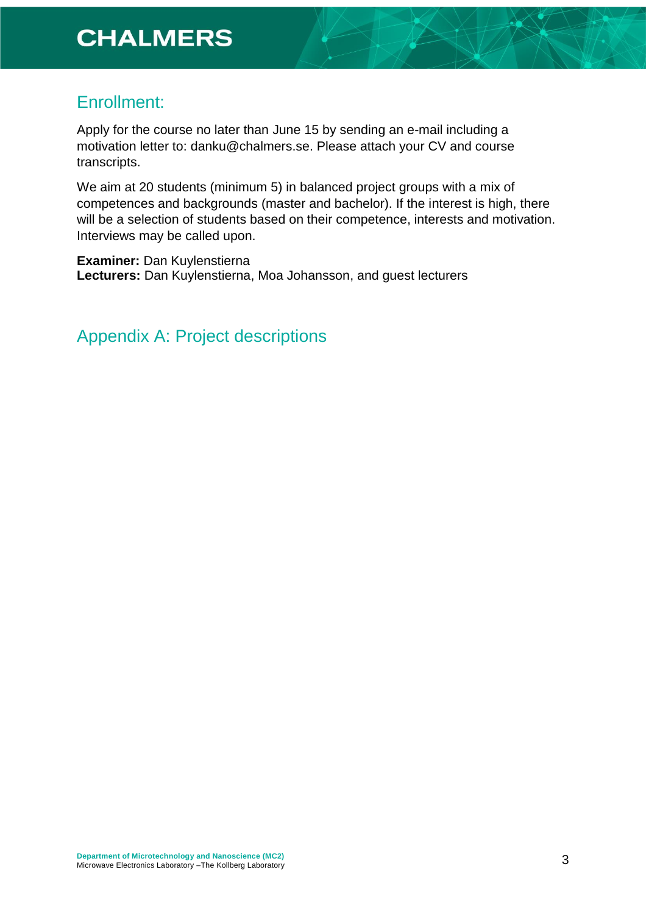#### Enrollment:

Apply for the course no later than June 15 by sending an e-mail including a motivation letter to: danku@chalmers.se. Please attach your CV and course transcripts.

We aim at 20 students (minimum 5) in balanced project groups with a mix of competences and backgrounds (master and bachelor). If the interest is high, there will be a selection of students based on their competence, interests and motivation. Interviews may be called upon.

**Examiner:** Dan Kuylenstierna **Lecturers:** Dan Kuylenstierna, Moa Johansson, and guest lecturers

Appendix A: Project descriptions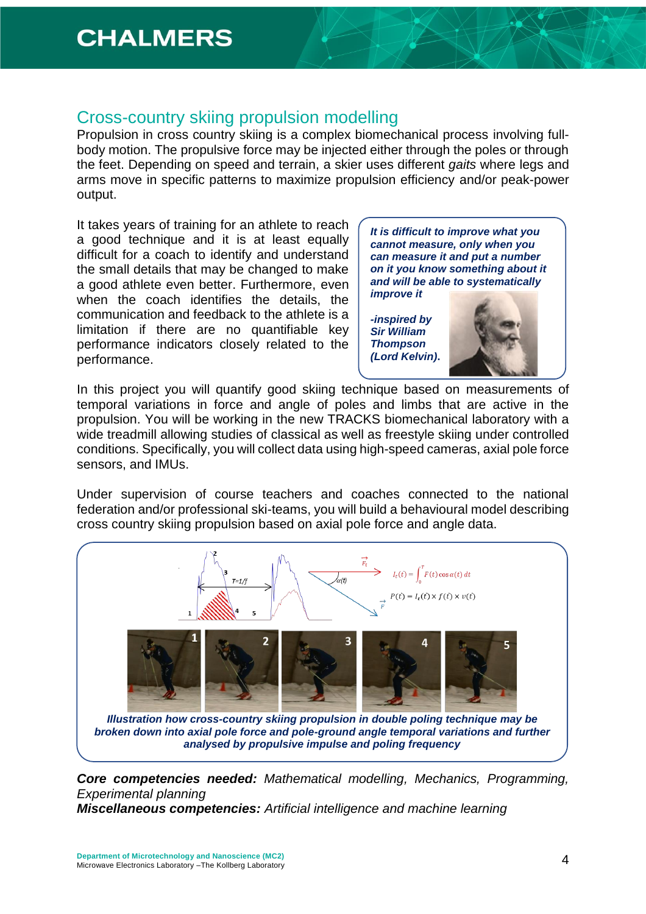#### Cross-country skiing propulsion modelling

Propulsion in cross country skiing is a complex biomechanical process involving fullbody motion. The propulsive force may be injected either through the poles or through the feet. Depending on speed and terrain, a skier uses different *gaits* where legs and arms move in specific patterns to maximize propulsion efficiency and/or peak-power output.

It takes years of training for an athlete to reach a good technique and it is at least equally difficult for a coach to identify and understand the small details that may be changed to make a good athlete even better. Furthermore, even when the coach identifies the details, the communication and feedback to the athlete is a limitation if there are no quantifiable key performance indicators closely related to the performance.

*It is difficult to improve what you cannot measure, only when you can measure it and put a number on it you know something about it and will be able to systematically improve it -inspired by* 

*Sir William Thompson (Lord Kelvin)***.**



In this project you will quantify good skiing technique based on measurements of temporal variations in force and angle of poles and limbs that are active in the propulsion. You will be working in the new TRACKS biomechanical laboratory with a wide treadmill allowing studies of classical as well as freestyle skiing under controlled conditions. Specifically, you will collect data using high-speed cameras, axial pole force sensors, and IMUs.

Under supervision of course teachers and coaches connected to the national federation and/or professional ski-teams, you will build a behavioural model describing cross country skiing propulsion based on axial pole force and angle data.



*Core competencies needed: Mathematical modelling, Mechanics, Programming, Experimental planning*

*Miscellaneous competencies: Artificial intelligence and machine learning*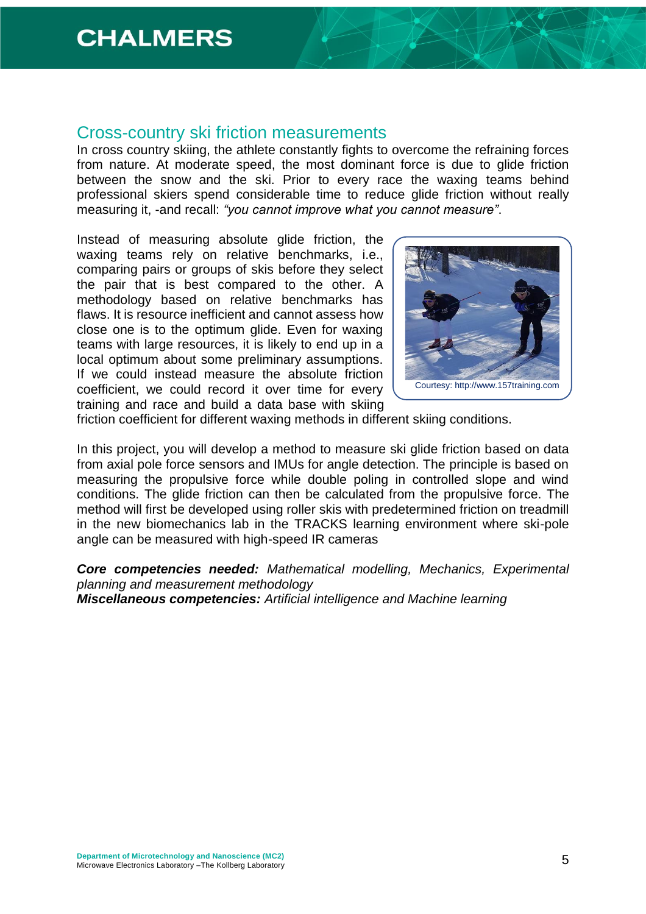#### Cross-country ski friction measurements

In cross country skiing, the athlete constantly fights to overcome the refraining forces from nature. At moderate speed, the most dominant force is due to glide friction between the snow and the ski. Prior to every race the waxing teams behind professional skiers spend considerable time to reduce glide friction without really measuring it, -and recall: *"you cannot improve what you cannot measure"*.

Instead of measuring absolute glide friction, the waxing teams rely on relative benchmarks, i.e., comparing pairs or groups of skis before they select the pair that is best compared to the other. A methodology based on relative benchmarks has flaws. It is resource inefficient and cannot assess how close one is to the optimum glide. Even for waxing teams with large resources, it is likely to end up in a local optimum about some preliminary assumptions. If we could instead measure the absolute friction coefficient, we could record it over time for every training and race and build a data base with skiing



friction coefficient for different waxing methods in different skiing conditions.

In this project, you will develop a method to measure ski glide friction based on data from axial pole force sensors and IMUs for angle detection. The principle is based on measuring the propulsive force while double poling in controlled slope and wind conditions. The glide friction can then be calculated from the propulsive force. The method will first be developed using roller skis with predetermined friction on treadmill in the new biomechanics lab in the TRACKS learning environment where ski-pole angle can be measured with high-speed IR cameras

*Core competencies needed: Mathematical modelling, Mechanics, Experimental planning and measurement methodology Miscellaneous competencies: Artificial intelligence and Machine learning*